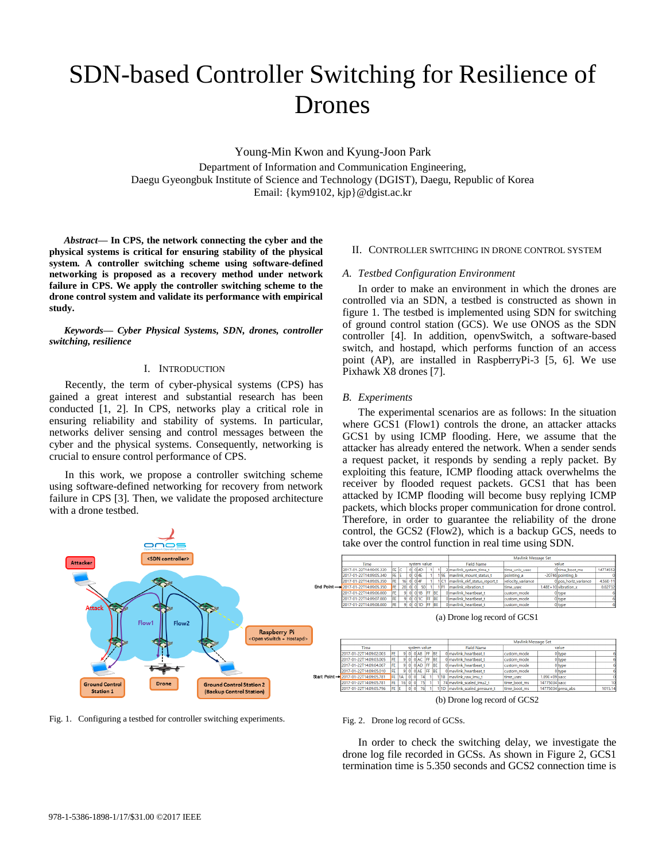# SDN-based Controller Switching for Resilience of Drones

Young-Min Kwon and Kyung-Joon Park

Department of Information and Communication Engineering, Daegu Gyeongbuk Institute of Science and Technology (DGIST), Daegu, Republic of Korea Email: {kym9102, kjp}@dgist.ac.kr

*Abstract***— In CPS, the network connecting the cyber and the physical systems is critical for ensuring stability of the physical system. A controller switching scheme using software-defined networking is proposed as a recovery method under network failure in CPS. We apply the controller switching scheme to the drone control system and validate its performance with empirical study.** 

*Keywords— Cyber Physical Systems, SDN, drones, controller switching, resilience*

### I. INTRODUCTION

Recently, the term of cyber-physical systems (CPS) has gained a great interest and substantial research has been conducted [1, 2]. In CPS, networks play a critical role in ensuring reliability and stability of systems. In particular, networks deliver sensing and control messages between the cyber and the physical systems. Consequently, networking is crucial to ensure control performance of CPS.

In this work, we propose a controller switching scheme using software-defined networking for recovery from network failure in CPS [3]. Then, we validate the proposed architecture with a drone testbed.

## of ground control station (GCS). We use ONOS as the SDN controller [4]. In addition, openvSwitch, a software-based switch, and hostapd, which performs function of an access

Pixhawk X8 drones [7].

*A. Testbed Configuration Environment* 

#### *B. Experiments*

The experimental scenarios are as follows: In the situation where GCS1 (Flow1) controls the drone, an attacker attacks GCS1 by using ICMP flooding. Here, we assume that the attacker has already entered the network. When a sender sends a request packet, it responds by sending a reply packet. By exploiting this feature, ICMP flooding attack overwhelms the receiver by flooded request packets. GCS1 that has been attacked by ICMP flooding will become busy replying ICMP packets, which blocks proper communication for drone control. Therefore, in order to guarantee the reliability of the drone control, the GCS2 (Flow2), which is a backup GCS, needs to

1477455

 $4.56E -$ 

II. CONTROLLER SWITCHING IN DRONE CONTROL SYSTEM

In order to make an environment in which the drones are controlled via an SDN, a testbed is constructed as shown in figure 1. The testbed is implemented using SDN for switching

point (AP), are installed in RaspberryPi-3 [5, 6]. We use



Fig. 1. Configuring a testbed for controller switching experiments.

(b) Drone log record of GCS2

#### Fig. 2. Drone log record of GCSs.

In order to check the switching delay, we investigate the drone log file recorded in GCSs. As shown in Figure 2, GCS1 termination time is 5.350 seconds and GCS2 connection time is